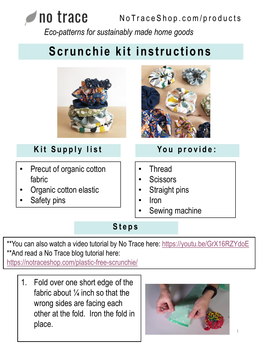#### no trace No Trace Shop.com/products *Eco-patterns for sustainably made home goods*

# **Scrunchie kit instructions**



### **Kit Supply list**

- Precut of organic cotton fabric
- Organic cotton elastic
- Safety pins



### **Yo u p r o v i d e :**

- **Thread**
- **Scissors**
- Straight pins
- Iron
- Sewing machine

#### **S t e p s**

\*\*You can also watch a video tutorial by No Trace here: <https://youtu.be/GrX16RZYdoE> \*\*And read a No Trace blog tutorial here:

<https://notraceshop.com/plastic-free-scrunchie/>

1. Fold over one short edge of the fabric about  $\frac{1}{4}$  inch so that the wrong sides are facing each other at the fold. Iron the fold in place.

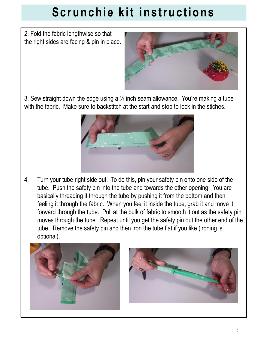## **Scrunchie kit instructions**

2. Fold the fabric lengthwise so that the right sides are facing & pin in place.



3. Sew straight down the edge using a  $\frac{1}{4}$  inch seam allowance. You're making a tube with the fabric. Make sure to backstitch at the start and stop to lock in the stiches.



4. Turn your tube right side out. To do this, pin your safety pin onto one side of the tube. Push the safety pin into the tube and towards the other opening. You are basically threading it through the tube by pushing it from the bottom and then feeling it through the fabric. When you feel it inside the tube, grab it and move it forward through the tube. Pull at the bulk of fabric to smooth it out as the safety pin moves through the tube. Repeat until you get the safety pin out the other end of the tube. Remove the safety pin and then iron the tube flat if you like (ironing is optional).



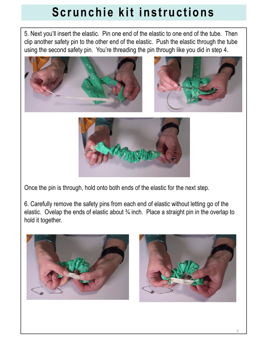## **Scrunchie kit instructions**

5. Next you'll insert the elastic. Pin one end of the elastic to one end of the tube. Then clip another safety pin to the other end of the elastic. Push the elastic through the tube using the second safety pin. You're threading the pin through like you did in step 4.







Once the pin is through, hold onto both ends of the elastic for the next step.

6. Carefully remove the safety pins from each end of elastic without letting go of the elastic. Ovelap the ends of elastic about  $\frac{3}{4}$  inch. Place a straight pin in the overlap to hold it together.



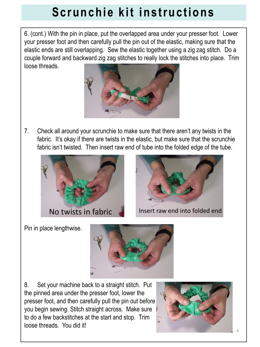### **Scrunchie kit instructions**

6. (cont.) With the pin in place, put the overlapped area under your presser foot. Lower your presser foot and then carefully pull the pin out of the elastic, making sure that the elastic ends are still overlapping. Sew the elastic together using a zig zag stitch. Do a couple forward and backward zig zag stitches to really lock the stitches into place. Trim loose threads.



7. Check all around your scrunchie to make sure that there aren't any twists in the fabric. It's okay if there are twists in the elastic, but make sure that the scrunchie fabric isn't twisted. Then insert raw end of tube into the folded edge of the tube.





Pin in place lengthwise.



8. Set your machine back to a straight stitch. Put the pinned area under the presser foot, lower the presser foot, and then carefully pull the pin out before you begin sewing. Stitch straight across. Make sure to do a few backstitches at the start and stop. Trim loose threads. You did it!